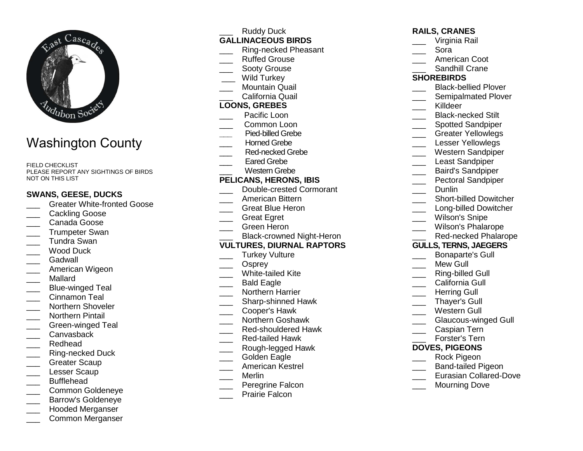

# Washington County

FIELD CHECKLIST PLEASE REPORT ANY SIGHTINGS OF BIRDS NOT ON THIS LIST

## **SWANS, GEESE, DUCKS**

- **LETT** Greater White-fronted Goose
- Cackling Goose
- \_\_\_ Canada Goose
- \_\_\_ Trumpeter Swan \_\_\_ Tundra Swan
- Wood Duck
- Gadwall
- \_\_\_ American Wigeon
- \_\_\_ Mallard
- \_\_\_ Blue-winged Teal
- Cinnamon Teal
- \_\_\_ Northern Shoveler
- Northern Pintail
- \_\_\_ Green-winged Teal
- \_\_\_ Canvasback
- \_\_\_ Redhead
- \_\_\_ Ring-necked Duck
- Greater Scaup
- Lesser Scaup
- \_\_\_ Bufflehead
- \_\_\_ Common Goldeneye
- \_\_\_ Barrow's Goldeneye
- \_\_\_ Hooded Merganser
- \_\_\_ Common Merganser
- Ruddy Duck **GALLINACEOUS BIRDS** \_\_\_ Ring-necked Pheasant \_\_\_ Ruffed Grouse Sooty Grouse Wild Turkey \_\_\_ Mountain Quail \_\_\_ California Quail **LOONS, GREBES**  \_\_\_ Pacific Loon \_\_\_ Common Loon **\_\_\_** Pied-billed Grebe Horned Grebe \_\_\_ Red-necked Grebe Eared Grebe \_\_\_ Western Grebe **PELICANS, HERONS, IBIS** \_\_\_ Double-crested Cormorant \_\_\_ American Bittern \_\_\_ Great Blue Heron Great Egret \_\_\_ Green Heron \_\_\_ Black-crowned Night-Heron **VULTURES, DIURNAL RAPTORS**Turkey Vulture Osprey \_\_\_ White-tailed Kite Bald Eagle \_\_\_ Northern Harrier \_\_\_\_ Sharp-shinned Hawk \_\_\_ Cooper's Hawk \_\_\_ Northern Goshawk **Ned-shouldered Hawk** \_\_\_ Red-tailed Hawk \_\_\_ Rough-legged Hawk
	- Golden Eagle
	- \_\_\_ American Kestrel
	- \_\_\_ Merlin
	- \_\_\_ Peregrine Falcon
	- Prairie Falcon

| <b>RAILS, CRANES</b> |  |
|----------------------|--|
| Virginia Rail        |  |

- \_\_\_ Sora
- \_\_\_ American Coot
- \_\_\_ Sandhill Crane

## **SHOREBIRDS**

- \_\_\_ Black-bellied Plover
- \_\_\_\_ Semipalmated Plover
- \_\_\_ Killdeer
- \_\_\_\_ Black-necked Stilt
- \_\_\_\_ Spotted Sandpiper
- \_\_\_ Greater Yellowlegs
- Lesser Yellowlegs
- \_\_\_ Western Sandpiper
- Least Sandpiper
- \_\_\_ Baird's Sandpiper
- \_\_\_ Pectoral Sandpiper
	- Dunlin
- **\_\_\_\_** Short-billed Dowitcher
- **Long-billed Dowitcher**
- Wilson's Snipe
- \_\_\_ Wilson's Phalarope
- \_\_\_ Red-necked Phalarope

# **GULLS, TERNS, JAEGERS**

- Bonaparte's Gull
- Mew Gull
- \_\_\_ Ring-billed Gull
- California Gull
- Herring Gull
- \_\_\_ Thayer's Gull
- \_\_\_ Western Gull
- \_\_\_ Glaucous-winged Gull
- \_\_\_ Caspian Tern
- \_\_\_ Forster's Tern
- **DOVES, PIGEONS**
- \_\_\_ Rock Pigeon
- \_\_\_ Band-tailed Pigeon
- **Lacks** Eurasian Collared-Dove
- Mourning Dove